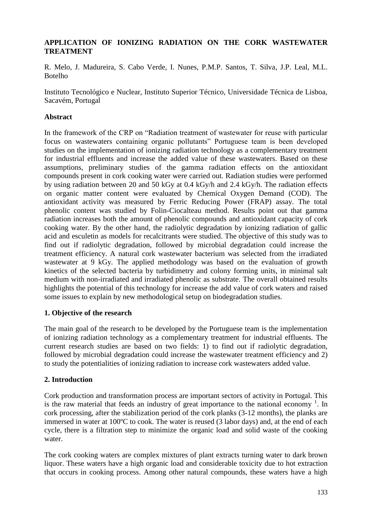## **APPLICATION OF IONIZING RADIATION ON THE CORK WASTEWATER TREATMENT**

R. Melo, J. Madureira, S. Cabo Verde, I. Nunes, P.M.P. Santos, T. Silva, J.P. Leal, M.L. Botelho

Instituto Tecnológico e Nuclear, Instituto Superior Técnico, Universidade Técnica de Lisboa, Sacavém, Portugal

## **Abstract**

In the framework of the CRP on "Radiation treatment of wastewater for reuse with particular focus on wastewaters containing organic pollutants" Portuguese team is been developed studies on the implementation of ionizing radiation technology as a complementary treatment for industrial effluents and increase the added value of these wastewaters. Based on these assumptions, preliminary studies of the gamma radiation effects on the antioxidant compounds present in cork cooking water were carried out. Radiation studies were performed by using radiation between 20 and 50 kGy at 0.4 kGy/h and 2.4 kGy/h. The radiation effects on organic matter content were evaluated by Chemical Oxygen Demand (COD). The antioxidant activity was measured by Ferric Reducing Power (FRAP) assay. The total phenolic content was studied by Folin-Ciocalteau method. Results point out that gamma radiation increases both the amount of phenolic compounds and antioxidant capacity of cork cooking water. By the other hand, the radiolytic degradation by ionizing radiation of gallic acid and esculetin as models for recalcitrants were studied. The objective of this study was to find out if radiolytic degradation, followed by microbial degradation could increase the treatment efficiency. A natural cork wastewater bacterium was selected from the irradiated wastewater at 9 kGy. The applied methodology was based on the evaluation of growth kinetics of the selected bacteria by turbidimetry and colony forming units, in minimal salt medium with non-irradiated and irradiated phenolic as substrate. The overall obtained results highlights the potential of this technology for increase the add value of cork waters and raised some issues to explain by new methodological setup on biodegradation studies.

#### **1. Objective of the research**

The main goal of the research to be developed by the Portuguese team is the implementation of ionizing radiation technology as a complementary treatment for industrial effluents. The current research studies are based on two fields: 1) to find out if radiolytic degradation, followed by microbial degradation could increase the wastewater treatment efficiency and 2) to study the potentialities of ionizing radiation to increase cork wastewaters added value.

## **2. Introduction**

Cork production and transformation process are important sectors of activity in Portugal. This is the raw material that feeds an industry of great importance to the national economy  $<sup>1</sup>$ . In</sup> cork processing, after the stabilization period of the cork planks (3-12 months), the planks are immersed in water at 100ºC to cook. The water is reused (3 labor days) and, at the end of each cycle, there is a filtration step to minimize the organic load and solid waste of the cooking water.

The cork cooking waters are complex mixtures of plant extracts turning water to dark brown liquor. These waters have a high organic load and considerable toxicity due to hot extraction that occurs in cooking process. Among other natural compounds, these waters have a high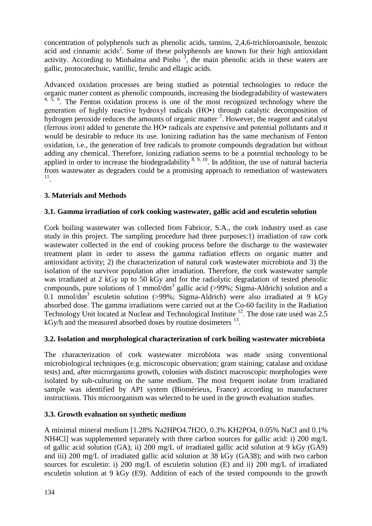concentration of polyphenols such as phenolic acids, tannins, 2,4,6-trichloroanisole, benzoic acid and cinnamic acids<sup>2</sup>. Some of these polyphenols are known for their high antioxidant activity. According to Minhalma and Pinho<sup>3</sup>, the main phenolic acids in these waters are gallic, protocatechuic, vanillic, ferulic and ellagic acids.

Advanced oxidation processes are being studied as potential technologies to reduce the organic matter content as phenolic compounds, increasing the biodegradability of wastewaters  $4, 5, 6$ . The Fenton oxidation process is one of the most recognized technology where the generation of highly reactive hydroxyl radicals (HO•) through catalytic decomposition of hydrogen peroxide reduces the amounts of organic matter  $\frac{7}{1}$ . However, the reagent and catalyst (ferrous iron) added to generate the HO• radicals are expensive and potential pollutants and it would be desirable to reduce its use. Ionizing radiation has the same mechanism of Fenton oxidation, i.e., the generation of free radicals to promote compounds degradation but without adding any chemical. Therefore, ionizing radiation seems to be a potential technology to be applied in order to increase the biodegradability  $8, 9, 10$ . In addition, the use of natural bacteria from wastewater as degraders could be a promising approach to remediation of wastewaters 11 .

## **3. Materials and Methods**

## **3.1. Gamma irradiation of cork cooking wastewater, gallic acid and esculetin solution**

Cork boiling wastewater was collected from Fabricor, S.A., the cork industry used as case study in this project. The sampling procedure had three purposes:1) irradiation of raw cork wastewater collected in the end of cooking process before the discharge to the wastewater treatment plant in order to assess the gamma radiation effects on organic matter and antioxidant activity; 2) the characterization of natural cork wastewater microbiota and 3) the isolation of the survivor population after irradiation. Therefore, the cork wastewater sample was irradiated at 2 kGy up to 50 kGy and for the radiolytic degradation of tested phenolic compounds, pure solutions of 1 mmol/dm<sup>3</sup> gallic acid (>99%; Sigma-Aldrich) solution and a 0.1 mmol/dm<sup>3</sup> esculetin solution (>99%; Sigma-Aldrich) were also irradiated at 9 kGy absorbed dose. The gamma irradiations were carried out at the Co-60 facility in the Radiation Technology Unit located at Nuclear and Technological Institute <sup>12</sup>. The dose rate used was 2.5 kGy/h and the measured absorbed doses by routine dosimeters <sup>13</sup>.

## **3.2. Isolation and morphological characterization of cork boiling wastewater microbiota**

The characterization of cork wastewater microbiota was made using conventional microbiological techniques (e.g. microscopic observation; gram staining; catalase and oxidase tests) and, after microrganims growth, colonies with distinct macroscopic morphologies were isolated by sub-culturing on the same medium. The most frequent isolate from irradiated sample was identified by API system (Biomérieux, France) according to manufacturer instructions. This microorganism was selected to be used in the growth evaluation studies.

## **3.3. Growth evaluation on synthetic medium**

A minimal mineral medium [1.28% Na2HPO4.7H2O, 0.3% KH2PO4, 0.05% NaCl and 0.1% NH4Cl] was supplemented separately with three carbon sources for gallic acid: i) 200 mg/L of gallic acid solution (GA); ii) 200 mg/L of irradiated gallic acid solution at 9 kGy (GA9) and iii) 200 mg/L of irradiated gallic acid solution at 38 kGy (GA38); and with two carbon sources for esculetin: i) 200 mg/L of esculetin solution (E) and ii) 200 mg/L of irradiated esculetin solution at 9 kGy (E9). Addition of each of the tested compounds to the growth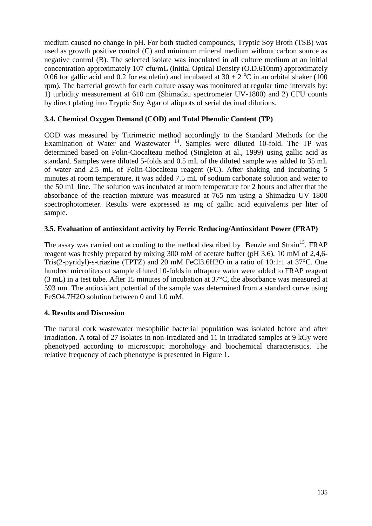medium caused no change in pH. For both studied compounds, Tryptic Soy Broth (TSB) was used as growth positive control (C) and minimum mineral medium without carbon source as negative control (B). The selected isolate was inoculated in all culture medium at an initial concentration approximately 107 cfu/mL (initial Optical Density (O.D.610nm) approximately 0.06 for gallic acid and 0.2 for esculetin) and incubated at  $30 \pm 2$  °C in an orbital shaker (100 rpm). The bacterial growth for each culture assay was monitored at regular time intervals by: 1) turbidity measurement at 610 nm (Shimadzu spectrometer UV-1800) and 2) CFU counts by direct plating into Tryptic Soy Agar of aliquots of serial decimal dilutions.

## **3.4. Chemical Oxygen Demand (COD) and Total Phenolic Content (TP)**

COD was measured by Titrimetric method accordingly to the Standard Methods for the Examination of Water and Wastewater  $14$ . Samples were diluted 10-fold. The TP was determined based on Folin-Ciocalteau method (Singleton at al., 1999) using gallic acid as standard. Samples were diluted 5-folds and 0.5 mL of the diluted sample was added to 35 mL of water and 2.5 mL of Folin-Ciocalteau reagent (FC). After shaking and incubating 5 minutes at room temperature, it was added 7.5 mL of sodium carbonate solution and water to the 50 mL line. The solution was incubated at room temperature for 2 hours and after that the absorbance of the reaction mixture was measured at 765 nm using a Shimadzu UV 1800 spectrophotometer. Results were expressed as mg of gallic acid equivalents per liter of sample.

## **3.5. Evaluation of antioxidant activity by Ferric Reducing/Antioxidant Power (FRAP)**

The assay was carried out according to the method described by Benzie and Strain<sup>15</sup>. FRAP reagent was freshly prepared by mixing 300 mM of acetate buffer (pH 3.6), 10 mM of 2,4,6- Tris(2-pyridyl)-s-triazine (TPTZ) and 20 mM FeCl3.6H2O in a ratio of 10:1:1 at 37°C. One hundred microliters of sample diluted 10-folds in ultrapure water were added to FRAP reagent (3 mL) in a test tube. After 15 minutes of incubation at 37°C, the absorbance was measured at 593 nm. The antioxidant potential of the sample was determined from a standard curve using FeSO4.7H2O solution between 0 and 1.0 mM.

## **4. Results and Discussion**

The natural cork wastewater mesophilic bacterial population was isolated before and after irradiation. A total of 27 isolates in non-irradiated and 11 in irradiated samples at 9 kGy were phenotyped according to microscopic morphology and biochemical characteristics. The relative frequency of each phenotype is presented in Figure 1.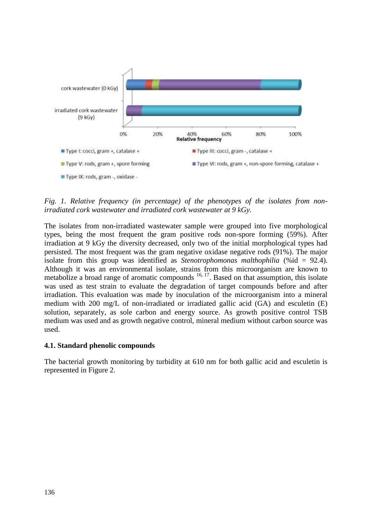

*Fig. 1. Relative frequency (in percentage) of the phenotypes of the isolates from nonirradiated cork wastewater and irradiated cork wastewater at 9 kGy.*

The isolates from non-irradiated wastewater sample were grouped into five morphological types, being the most frequent the gram positive rods non-spore forming (59%). After irradiation at 9 kGy the diversity decreased, only two of the initial morphological types had persisted. The most frequent was the gram negative oxidase negative rods (91%). The major isolate from this group was identified as *Stenotrophomonas malthophilia* (%id = 92.4). Although it was an environmental isolate, strains from this microorganism are known to metabolize a broad range of aromatic compounds  $16, 17$ . Based on that assumption, this isolate was used as test strain to evaluate the degradation of target compounds before and after irradiation. This evaluation was made by inoculation of the microorganism into a mineral medium with 200 mg/L of non-irradiated or irradiated gallic acid (GA) and esculetin (E) solution, separately, as sole carbon and energy source. As growth positive control TSB medium was used and as growth negative control, mineral medium without carbon source was used.

#### **4.1. Standard phenolic compounds**

The bacterial growth monitoring by turbidity at 610 nm for both gallic acid and esculetin is represented in Figure 2.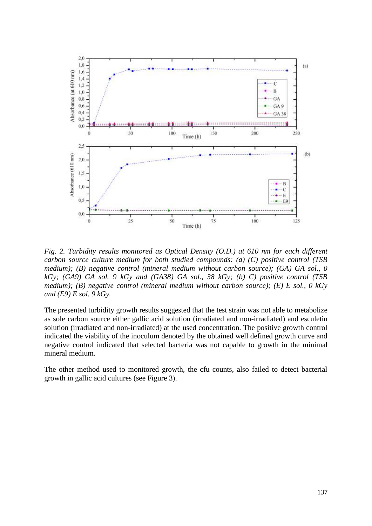

*Fig. 2. Turbidity results monitored as Optical Density (O.D.) at 610 nm for each different carbon source culture medium for both studied compounds: (a) (C) positive control (TSB medium); (B) negative control (mineral medium without carbon source); (GA) GA sol., 0 kGy; (GA9) GA sol. 9 kGy and (GA38) GA sol., 38 kGy; (b) C) positive control (TSB medium); (B) negative control (mineral medium without carbon source); (E) E sol., 0 kGy and (E9) E sol. 9 kGy.*

The presented turbidity growth results suggested that the test strain was not able to metabolize as sole carbon source either gallic acid solution (irradiated and non-irradiated) and esculetin solution (irradiated and non-irradiated) at the used concentration. The positive growth control indicated the viability of the inoculum denoted by the obtained well defined growth curve and negative control indicated that selected bacteria was not capable to growth in the minimal mineral medium.

The other method used to monitored growth, the cfu counts, also failed to detect bacterial growth in gallic acid cultures (see Figure 3).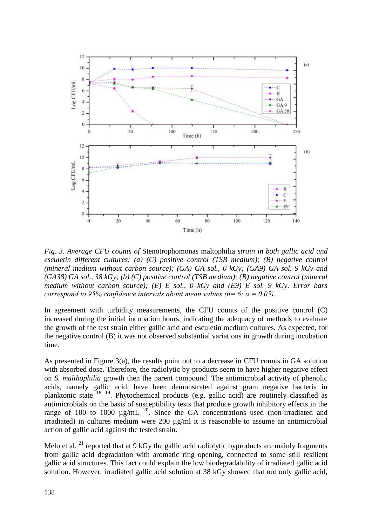

*Fig. 3. Average CFU counts of* Stenotrophomonas maltophilia *strain in both gallic acid and esculetin different cultures: (a) (C) positive control (TSB medium); (B) negative control (mineral medium without carbon source); (GA) GA sol., 0 kGy; (GA9) GA sol. 9 kGy and (GA38) GA sol., 38 kGy; (b) (C) positive control (TSB medium); (B) negative control (mineral medium without carbon source); (E) E sol., 0 kGy and (E9) E sol. 9 kGy. Error bars correspond to 95% confidence intervals about mean values (n= 6;*  $\alpha$  *= 0.05).* 

In agreement with turbidity measurements, the CFU counts of the positive control (C) increased during the initial incubation hours, indicating the adequacy of methods to evaluate the growth of the test strain either gallic acid and esculetin medium cultures. As expected, for the negative control (B) it was not observed substantial variations in growth during incubation time.

As presented in Figure 3(a), the results point out to a decrease in CFU counts in GA solution with absorbed dose. Therefore, the radiolytic by-products seem to have higher negative effect on *S. malthophilia* growth then the parent compound. The antimicrobial activity of phenolic acids, namely gallic acid, have been demonstrated against gram negative bacteria in planktonic state <sup>18, 19</sup>. Phytochemical products (e.g. gallic acid) are routinely classified as antimicrobials on the basis of susceptibility tests that produce growth inhibitory effects in the range of 100 to 1000  $\mu$ g/mL  $^{20}$ . Since the GA concentrations used (non-irradiated and irradiated) in cultures medium were 200 µg/ml it is reasonable to assume an antimicrobial action of gallic acid against the tested strain.

Melo et al.<sup>21</sup> reported that at 9 kGy the gallic acid radiolytic byproducts are mainly fragments from gallic acid degradation with aromatic ring opening, connected to some still resilient gallic acid structures. This fact could explain the low biodegradability of irradiated gallic acid solution. However, irradiated gallic acid solution at 38 kGy showed that not only gallic acid,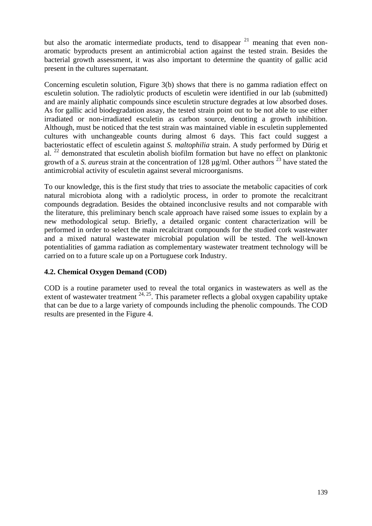but also the aromatic intermediate products, tend to disappear  $21$  meaning that even nonaromatic byproducts present an antimicrobial action against the tested strain. Besides the bacterial growth assessment, it was also important to determine the quantity of gallic acid present in the cultures supernatant.

Concerning esculetin solution, Figure 3(b) shows that there is no gamma radiation effect on esculetin solution. The radiolytic products of esculetin were identified in our lab (submitted) and are mainly aliphatic compounds since esculetin structure degrades at low absorbed doses. As for gallic acid biodegradation assay, the tested strain point out to be not able to use either irradiated or non-irradiated esculetin as carbon source, denoting a growth inhibition. Although, must be noticed that the test strain was maintained viable in esculetin supplemented cultures with unchangeable counts during almost 6 days. This fact could suggest a bacteriostatic effect of esculetin against *S. maltophilia* strain. A study performed by Dürig et al.  $^{22}$  demonstrated that esculetin abolish biofilm formation but have no effect on planktonic growth of a *S. aureus* strain at the concentration of 128 ug/ml. Other authors <sup>23</sup> have stated the antimicrobial activity of esculetin against several microorganisms.

To our knowledge, this is the first study that tries to associate the metabolic capacities of cork natural microbiota along with a radiolytic process, in order to promote the recalcitrant compounds degradation. Besides the obtained inconclusive results and not comparable with the literature, this preliminary bench scale approach have raised some issues to explain by a new methodological setup. Briefly, a detailed organic content characterization will be performed in order to select the main recalcitrant compounds for the studied cork wastewater and a mixed natural wastewater microbial population will be tested. The well-known potentialities of gamma radiation as complementary wastewater treatment technology will be carried on to a future scale up on a Portuguese cork Industry.

# **4.2. Chemical Oxygen Demand (COD)**

COD is a routine parameter used to reveal the total organics in wastewaters as well as the extent of wastewater treatment  $24, 25$ . This parameter reflects a global oxygen capability uptake that can be due to a large variety of compounds including the phenolic compounds. The COD results are presented in the Figure 4.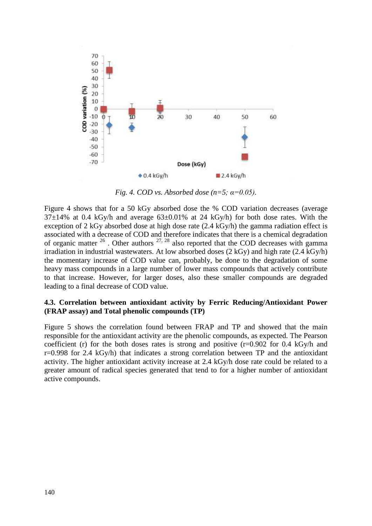

*Fig. 4. COD vs. Absorbed dose (n=5;*  $\alpha$ *=0.05).* 

Figure 4 shows that for a 50 kGy absorbed dose the % COD variation decreases (average  $37\pm14\%$  at 0.4 kGy/h and average  $63\pm0.01\%$  at 24 kGy/h) for both dose rates. With the exception of 2 kGy absorbed dose at high dose rate (2.4 kGy/h) the gamma radiation effect is associated with a decrease of COD and therefore indicates that there is a chemical degradation of organic matter  $2^6$ . Other authors  $27, 28$  also reported that the COD decreases with gamma irradiation in industrial wastewaters. At low absorbed doses (2 kGy) and high rate (2.4 kGy/h) the momentary increase of COD value can, probably, be done to the degradation of some heavy mass compounds in a large number of lower mass compounds that actively contribute to that increase. However, for larger doses, also these smaller compounds are degraded leading to a final decrease of COD value.

#### **4.3. Correlation between antioxidant activity by Ferric Reducing/Antioxidant Power (FRAP assay) and Total phenolic compounds (TP)**

Figure 5 shows the correlation found between FRAP and TP and showed that the main responsible for the antioxidant activity are the phenolic compounds, as expected. The Pearson coefficient (r) for the both doses rates is strong and positive  $(r=0.902$  for 0.4 kGy/h and  $r=0.998$  for 2.4 kGy/h) that indicates a strong correlation between TP and the antioxidant activity. The higher antioxidant activity increase at 2.4 kGy/h dose rate could be related to a greater amount of radical species generated that tend to for a higher number of antioxidant active compounds.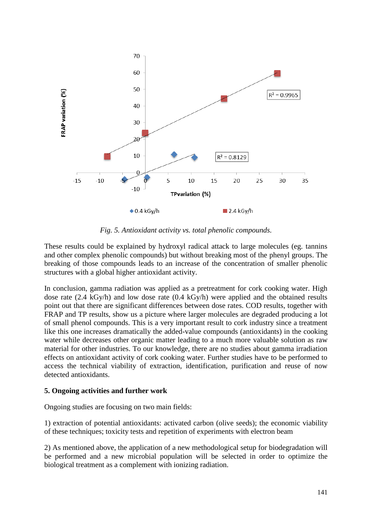

*Fig. 5. Antioxidant activity vs. total phenolic compounds.*

These results could be explained by hydroxyl radical attack to large molecules (eg. tannins and other complex phenolic compounds) but without breaking most of the phenyl groups. The breaking of those compounds leads to an increase of the concentration of smaller phenolic structures with a global higher antioxidant activity.

In conclusion, gamma radiation was applied as a pretreatment for cork cooking water. High dose rate (2.4 kGy/h) and low dose rate (0.4 kGy/h) were applied and the obtained results point out that there are significant differences between dose rates. COD results, together with FRAP and TP results, show us a picture where larger molecules are degraded producing a lot of small phenol compounds. This is a very important result to cork industry since a treatment like this one increases dramatically the added-value compounds (antioxidants) in the cooking water while decreases other organic matter leading to a much more valuable solution as raw material for other industries. To our knowledge, there are no studies about gamma irradiation effects on antioxidant activity of cork cooking water. Further studies have to be performed to access the technical viability of extraction, identification, purification and reuse of now detected antioxidants.

#### **5. Ongoing activities and further work**

Ongoing studies are focusing on two main fields:

1) extraction of potential antioxidants: activated carbon (olive seeds); the economic viability of these techniques; toxicity tests and repetition of experiments with electron beam

2) As mentioned above, the application of a new methodological setup for biodegradation will be performed and a new microbial population will be selected in order to optimize the biological treatment as a complement with ionizing radiation.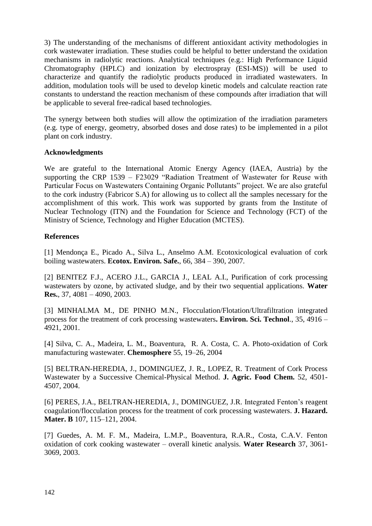3) The understanding of the mechanisms of different antioxidant activity methodologies in cork wastewater irradiation. These studies could be helpful to better understand the oxidation mechanisms in radiolytic reactions. Analytical techniques (e.g.: High Performance Liquid Chromatography (HPLC) and ionization by electrospray (ESI-MS)) will be used to characterize and quantify the radiolytic products produced in irradiated wastewaters. In addition, modulation tools will be used to develop kinetic models and calculate reaction rate constants to understand the reaction mechanism of these compounds after irradiation that will be applicable to several free-radical based technologies.

The synergy between both studies will allow the optimization of the irradiation parameters (e.g. type of energy, geometry, absorbed doses and dose rates) to be implemented in a pilot plant on cork industry.

## **Acknowledgments**

We are grateful to the International Atomic Energy Agency (IAEA, Austria) by the supporting the CRP 1539 – F23029 "Radiation Treatment of Wastewater for Reuse with Particular Focus on Wastewaters Containing Organic Pollutants" project. We are also grateful to the cork industry (Fabricor S.A) for allowing us to collect all the samples necessary for the accomplishment of this work. This work was supported by grants from the Institute of Nuclear Technology (ITN) and the Foundation for Science and Technology (FCT) of the Ministry of Science, Technology and Higher Education (MCTES).

#### **References**

[1] Mendonça E., Picado A., Silva L., Anselmo A.M. Ecotoxicological evaluation of cork boiling wastewaters. **Ecotox. Environ. Safe.**, 66, 384 – 390, 2007.

[2] BENITEZ F.J., ACERO J.L., GARCIA J., LEAL A.I., Purification of cork processing wastewaters by ozone, by activated sludge, and by their two sequential applications. **Water Res.**, 37, 4081 – 4090, 2003.

[3] MINHALMA M., DE PINHO M.N., Flocculation/Flotation/Ultrafiltration integrated process for the treatment of cork processing wastewaters**. Environ. Sci. Technol**., 35, 4916 – 4921, 2001.

[4] Silva, C. A., Madeira, L. M., Boaventura, R. A. Costa, C. A. Photo-oxidation of Cork manufacturing wastewater. **Chemosphere** 55, 19–26, 2004

[5] BELTRAN-HEREDIA, J., DOMINGUEZ, J. R., LOPEZ, R. Treatment of Cork Process Wastewater by a Successive Chemical-Physical Method. **J. Agric. Food Chem.** 52, 4501- 4507, 2004.

[6] PERES, J.A., BELTRAN-HEREDIA, J., DOMINGUEZ, J.R. Integrated Fenton's reagent coagulation/flocculation process for the treatment of cork processing wastewaters. **J. Hazard. Mater. B** 107, 115–121, 2004.

[7] Guedes, A. M. F. M., Madeira, L.M.P., Boaventura, R.A.R., Costa, C.A.V. Fenton oxidation of cork cooking wastewater – overall kinetic analysis. **Water Research** 37, 3061- 3069, 2003.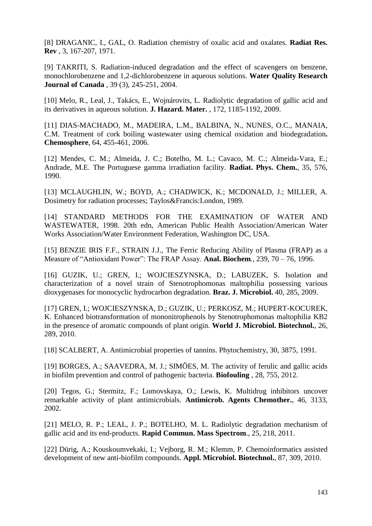[8] DRAGANIC, I., GAL, O. Radiation chemistry of oxalic acid and oxalates. **Radiat Res. Rev** , 3, 167-207, 1971.

[9] TAKRITI, S. Radiation-induced degradation and the effect of scavengers on benzene, monochlorobenzene and 1,2-dichlorobenzene in aqueous solutions. **Water Quality Research Journal of Canada** , 39 (3), 245-251, 2004.

[10] Melo, R., Leal, J., Takács, E., Wojnárovits, L. Radiolytic degradation of gallic acid and its derivatives in aqueous solution. **J. Hazard. Mater.** , 172, 1185-1192, 2009.

[11] DIAS-MACHADO, M., MADEIRA, L.M., BALBINA, N., NUNES, O.C., MANAIA, C.M. Treatment of cork boiling wastewater using chemical oxidation and biodegradation**. Chemosphere**, 64, 455-461, 2006.

[12] Mendes, C. M.; Almeida, J. C.; Botelho, M. L.; Cavaco, M. C.; Almeida-Vara, E.; Andrade, M.E. The Portuguese gamma irradiation facility. **Radiat. Phys. Chem.**, 35, 576, 1990.

[13] MCLAUGHLIN, W.; BOYD, A.; CHADWICK, K.; MCDONALD, J.; MILLER, A. Dosimetry for radiation processes; Taylos&Francis:London, 1989.

[14] STANDARD METHODS FOR THE EXAMINATION OF WATER AND WASTEWATER, 1998. 20th edn, American Public Health Association/American Water Works Association/Water Environment Federation, Washington DC, USA.

[15] BENZIE IRIS F.F., STRAIN J.J., The Ferric Reducing Ability of Plasma (FRAP) as a Measure of "Antioxidant Power": The FRAP Assay. **Anal. Biochem**., 239, 70 – 76, 1996.

[16] GUZIK, U.; GREN, I.; WOJCIESZYNSKA, D.; LABUZEK, S. Isolation and characterization of a novel strain of Stenotrophomonas maltophilia possessing various dioxygenases for monocyclic hydrocarbon degradation. **Braz. J. Microbiol.** 40, 285, 2009.

[17] GREN, I.; WOJCIESZYNSKA, D.; GUZIK, U.; PERKOSZ, M.; HUPERT-KOCUREK, K. Enhanced biotransformation of mononitrophenols by Stenotrophomonas maltophilia KB2 in the presence of aromatic compounds of plant origin. **World J. Microbiol. Biotechnol.**, 26, 289, 2010.

[18] SCALBERT, A. Antimicrobial properties of tannins. Phytochemistry, 30, 3875, 1991.

[19] BORGES, A.; SAAVEDRA, M. J.; SIMÕES, M. The activity of ferulic and gallic acids in biofilm prevention and control of pathogenic bacteria. **Biofouling** , 28, 755, 2012.

[20] Tegos, G.; Stermitz, F.; Lomovskaya, O.; Lewis, K. Multidrug inhibitors uncover remarkable activity of plant antimicrobials. **Antimicrob. Agents Chemother.**, 46, 3133, 2002.

[21] MELO, R. P.; LEAL, J. P.; BOTELHO, M. L. Radiolytic degradation mechanism of gallic acid and its end-products. **Rapid Commun. Mass Spectrom**., 25, 218, 2011.

[22] Dürig, A.; Kouskoumvekaki, I.; Vejborg, R. M.; Klemm, P. Chemoinformatics assisted development of new anti-biofilm compounds. **Appl. Microbiol. Biotechnol.**, 87, 309, 2010.